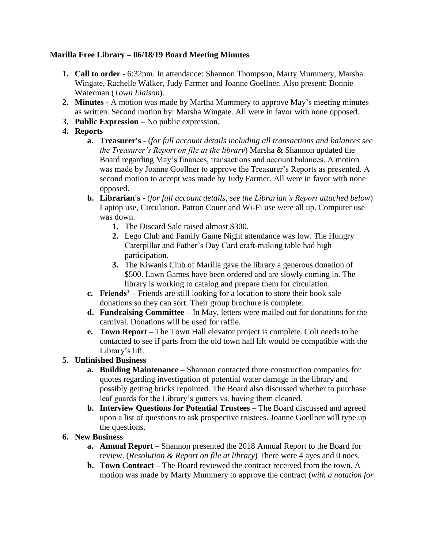## **Marilla Free Library – 06/18/19 Board Meeting Minutes**

- **1. Call to order -** 6:32pm. In attendance: Shannon Thompson, Marty Mummery, Marsha Wingate, Rachelle Walker, Judy Farmer and Joanne Goellner. Also present: Bonnie Waterman (*Town Liaison*).
- **2. Minutes -** A motion was made by Martha Mummery to approve May's meeting minutes as written. Second motion by: Marsha Wingate. All were in favor with none opposed.
- **3. Public Expression –** No public expression.
- **4. Reports**
	- **a. Treasurer's -** (*for full account details including all transactions and balances see the Treasurer's Report on file at the library*) Marsha & Shannon updated the Board regarding May's finances, transactions and account balances. A motion was made by Joanne Goellner to approve the Treasurer's Reports as presented. A second motion to accept was made by Judy Farmer. All were in favor with none opposed.
	- **b. Librarian's -** (*for full account details, see the Librarian's Report attached below*) Laptop use, Circulation, Patron Count and Wi-Fi use were all up. Computer use was down.
		- **1.** The Discard Sale raised almost \$300.
		- **2.** Lego Club and Family Game Night attendance was low. The Hungry Caterpillar and Father's Day Card craft-making table had high participation.
		- **3.** The Kiwanis Club of Marilla gave the library a generous donation of \$500. Lawn Games have been ordered and are slowly coming in. The library is working to catalog and prepare them for circulation.
	- **c. Friends' –** Friends are still looking for a location to store their book sale donations so they can sort. Their group brochure is complete.
	- **d. Fundraising Committee –** In May, letters were mailed out for donations for the carnival. Donations will be used for raffle.
	- **e. Town Report –** The Town Hall elevator project is complete. Colt needs to be contacted to see if parts from the old town hall lift would be compatible with the Library's lift.

# **5. Unfinished Business**

- **a. Building Maintenance –** Shannon contacted three construction companies for quotes regarding investigation of potential water damage in the library and possibly getting bricks repointed. The Board also discussed whether to purchase leaf guards for the Library's gutters vs. having them cleaned.
- **b. Interview Questions for Potential Trustees –** The Board discussed and agreed upon a list of questions to ask prospective trustees. Joanne Goellner will type up the questions.

# **6. New Business**

- **a. Annual Report –** Shannon presented the 2018 Annual Report to the Board for review. (*Resolution & Report on file at library*) There were 4 ayes and 0 noes.
- **b. Town Contract –** The Board reviewed the contract received from the town. A motion was made by Marty Mummery to approve the contract (*with a notation for*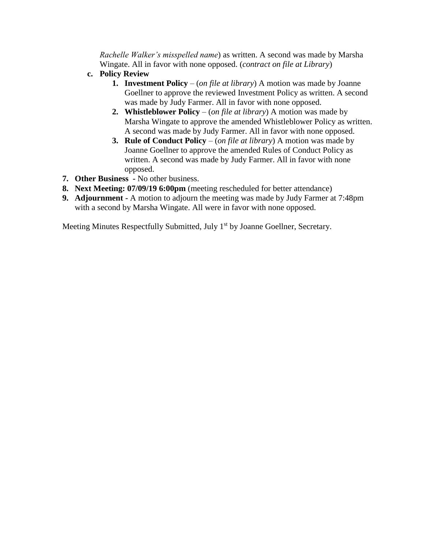*Rachelle Walker's misspelled name*) as written. A second was made by Marsha Wingate. All in favor with none opposed. (*contract on file at Library*)

- **c. Policy Review**
	- **1. Investment Policy** (*on file at library*) A motion was made by Joanne Goellner to approve the reviewed Investment Policy as written. A second was made by Judy Farmer. All in favor with none opposed.
	- **2. Whistleblower Policy** (*on file at library*) A motion was made by Marsha Wingate to approve the amended Whistleblower Policy as written. A second was made by Judy Farmer. All in favor with none opposed.
	- **3. Rule of Conduct Policy** (*on file at library*) A motion was made by Joanne Goellner to approve the amended Rules of Conduct Policy as written. A second was made by Judy Farmer. All in favor with none opposed.
- **7. Other Business -** No other business.
- **8. Next Meeting: 07/09/19 6:00pm** (meeting rescheduled for better attendance)
- **9. Adjournment -** A motion to adjourn the meeting was made by Judy Farmer at 7:48pm with a second by Marsha Wingate. All were in favor with none opposed.

Meeting Minutes Respectfully Submitted, July 1<sup>st</sup> by Joanne Goellner, Secretary.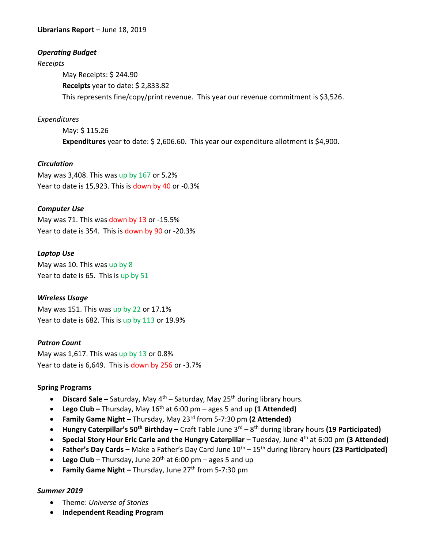**Librarians Report –** June 18, 2019

## *Operating Budget*

*Receipts*

May Receipts: \$ 244.90 **Receipts** year to date: \$ 2,833.82 This represents fine/copy/print revenue. This year our revenue commitment is \$3,526.

## *Expenditures*

May: \$ 115.26 **Expenditures** year to date: \$ 2,606.60. This year our expenditure allotment is \$4,900.

#### *Circulation*

May was 3,408. This was up by 167 or 5.2% Year to date is 15,923. This is down by 40 or -0.3%

## *Computer Use*

May was 71. This was down by 13 or -15.5% Year to date is 354. This is down by 90 or -20.3%

## *Laptop Use*

May was 10. This was up by 8 Year to date is 65. This is up by 51

#### *Wireless Usage*

May was 151. This was up by 22 or 17.1% Year to date is 682. This is up by 113 or 19.9%

#### *Patron Count*

May was 1,617. This was up by  $13$  or 0.8% Year to date is 6,649. This is down by 256 or -3.7%

#### **Spring Programs**

- **Discard Sale** Saturday, May 4<sup>th</sup> Saturday, May 25<sup>th</sup> during library hours.
- **Lego Club –** Thursday, May 16th at 6:00 pm ages 5 and up **(1 Attended)**
- **Family Game Night –** Thursday, May 23rd from 5-7:30 pm **(2 Attended)**
- **Hungry Caterpillar's 50th Birthday –** Craft Table June 3rd 8 th during library hours **(19 Participated)**
- **Special Story Hour Eric Carle and the Hungry Caterpillar –** Tuesday, June 4th at 6:00 pm **(3 Attended)**
- **•** Father's Day Cards Make a Father's Day Card June  $10^{th}$   $15^{th}$  during library hours (23 Participated)
- **•** Lego Club Thursday, June 20<sup>th</sup> at 6:00 pm ages 5 and up
- **•** Family Game Night Thursday, June 27<sup>th</sup> from 5-7:30 pm

#### *Summer 2019*

- Theme: *Universe of Stories*
- **Independent Reading Program**